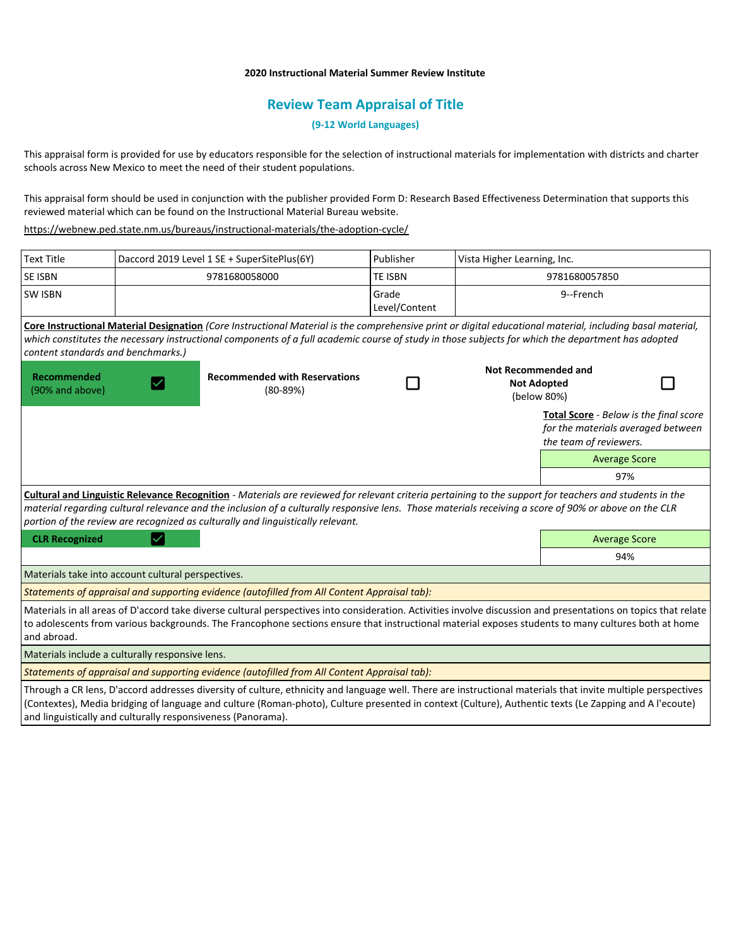# **2020 Instructional Material Summer Review Institute**

# **Review Team Appraisal of Title**

**(9-12 World Languages)**

This appraisal form is provided for use by educators responsible for the selection of instructional materials for implementation with districts and charter schools across New Mexico to meet the need of their student populations.

This appraisal form should be used in conjunction with the publisher provided Form D: Research Based Effectiveness Determination that supports this reviewed material which can be found on the Instructional Material Bureau website.

<https://webnew.ped.state.nm.us/bureaus/instructional-materials/the-adoption-cycle/>

| <b>Text Title</b>                                                                                                                                                                                                                                                                                                                                                                                   | Daccord 2019 Level 1 SE + SuperSitePlus(6Y) |                                                                                                                                                                                                                                                                                                                  | Publisher              | Vista Higher Learning, Inc.                                     |                                                                                                               |  |
|-----------------------------------------------------------------------------------------------------------------------------------------------------------------------------------------------------------------------------------------------------------------------------------------------------------------------------------------------------------------------------------------------------|---------------------------------------------|------------------------------------------------------------------------------------------------------------------------------------------------------------------------------------------------------------------------------------------------------------------------------------------------------------------|------------------------|-----------------------------------------------------------------|---------------------------------------------------------------------------------------------------------------|--|
| <b>SE ISBN</b>                                                                                                                                                                                                                                                                                                                                                                                      |                                             | 9781680058000                                                                                                                                                                                                                                                                                                    | <b>TE ISBN</b>         | 9781680057850                                                   |                                                                                                               |  |
| <b>SW ISBN</b>                                                                                                                                                                                                                                                                                                                                                                                      |                                             |                                                                                                                                                                                                                                                                                                                  | Grade<br>Level/Content |                                                                 | 9--French                                                                                                     |  |
| content standards and benchmarks.)                                                                                                                                                                                                                                                                                                                                                                  |                                             | Core Instructional Material Designation (Core Instructional Material is the comprehensive print or digital educational material, including basal material,<br>which constitutes the necessary instructional components of a full academic course of study in those subjects for which the department has adopted |                        |                                                                 |                                                                                                               |  |
| Recommended<br>(90% and above)                                                                                                                                                                                                                                                                                                                                                                      |                                             | <b>Recommended with Reservations</b><br>$(80-89%)$                                                                                                                                                                                                                                                               |                        | <b>Not Recommended and</b><br><b>Not Adopted</b><br>(below 80%) |                                                                                                               |  |
|                                                                                                                                                                                                                                                                                                                                                                                                     |                                             |                                                                                                                                                                                                                                                                                                                  |                        |                                                                 | <b>Total Score</b> - Below is the final score<br>for the materials averaged between<br>the team of reviewers. |  |
|                                                                                                                                                                                                                                                                                                                                                                                                     |                                             |                                                                                                                                                                                                                                                                                                                  |                        |                                                                 | <b>Average Score</b>                                                                                          |  |
|                                                                                                                                                                                                                                                                                                                                                                                                     |                                             |                                                                                                                                                                                                                                                                                                                  |                        |                                                                 | 97%                                                                                                           |  |
| Cultural and Linguistic Relevance Recognition - Materials are reviewed for relevant criteria pertaining to the support for teachers and students in the<br>material regarding cultural relevance and the inclusion of a culturally responsive lens. Those materials receiving a score of 90% or above on the CLR<br>portion of the review are recognized as culturally and linguistically relevant. |                                             |                                                                                                                                                                                                                                                                                                                  |                        |                                                                 |                                                                                                               |  |
| <b>CLR Recognized</b>                                                                                                                                                                                                                                                                                                                                                                               |                                             |                                                                                                                                                                                                                                                                                                                  |                        |                                                                 | <b>Average Score</b>                                                                                          |  |
|                                                                                                                                                                                                                                                                                                                                                                                                     |                                             |                                                                                                                                                                                                                                                                                                                  |                        |                                                                 | 94%                                                                                                           |  |
| Materials take into account cultural perspectives.                                                                                                                                                                                                                                                                                                                                                  |                                             |                                                                                                                                                                                                                                                                                                                  |                        |                                                                 |                                                                                                               |  |
|                                                                                                                                                                                                                                                                                                                                                                                                     |                                             | Statements of appraisal and supporting evidence (autofilled from All Content Appraisal tab):                                                                                                                                                                                                                     |                        |                                                                 |                                                                                                               |  |
| Materials in all areas of D'accord take diverse cultural perspectives into consideration. Activities involve discussion and presentations on topics that relate<br>to adolescents from various backgrounds. The Francophone sections ensure that instructional material exposes students to many cultures both at home<br>and abroad.                                                               |                                             |                                                                                                                                                                                                                                                                                                                  |                        |                                                                 |                                                                                                               |  |
| Materials include a culturally responsive lens.                                                                                                                                                                                                                                                                                                                                                     |                                             |                                                                                                                                                                                                                                                                                                                  |                        |                                                                 |                                                                                                               |  |
|                                                                                                                                                                                                                                                                                                                                                                                                     |                                             | Statements of appraisal and supporting evidence (autofilled from All Content Appraisal tab):                                                                                                                                                                                                                     |                        |                                                                 |                                                                                                               |  |
| Through a CR lens, D'accord addresses diversity of culture, ethnicity and language well. There are instructional materials that invite multiple perspectives<br>(Contextes), Media bridging of language and culture (Roman-photo), Culture presented in context (Culture), Authentic texts (Le Zapping and A l'ecoute)                                                                              |                                             |                                                                                                                                                                                                                                                                                                                  |                        |                                                                 |                                                                                                               |  |

and linguistically and culturally responsiveness (Panorama).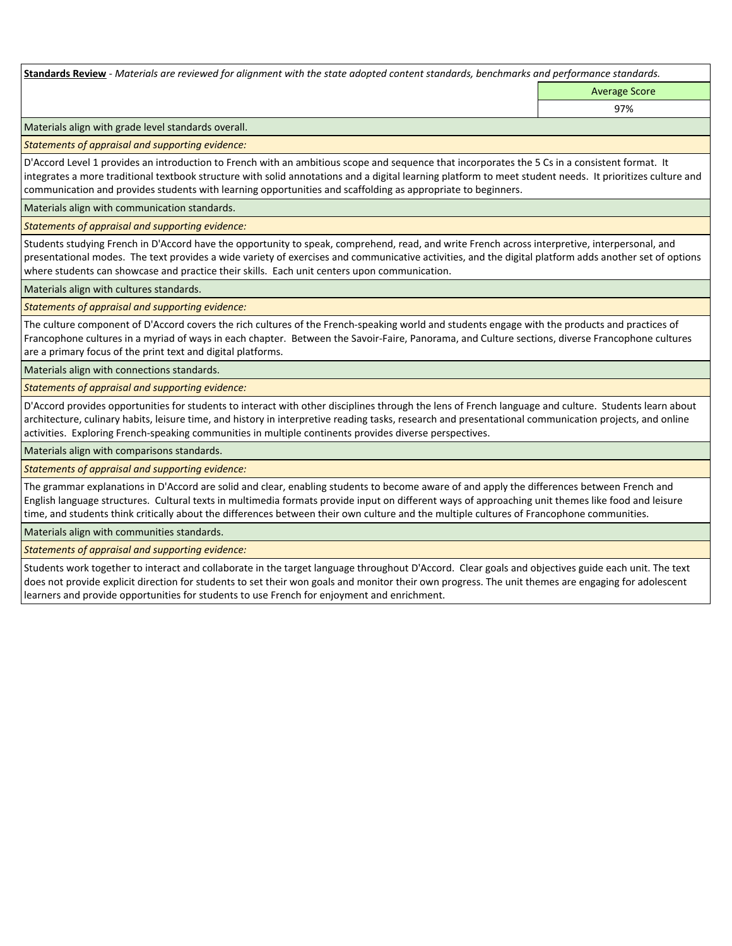**Standards Review** *- Materials are reviewed for alignment with the state adopted content standards, benchmarks and performance standards.*

Average Score

97%

Materials align with grade level standards overall.

*Statements of appraisal and supporting evidence:* 

D'Accord Level 1 provides an introduction to French with an ambitious scope and sequence that incorporates the 5 Cs in a consistent format. It integrates a more traditional textbook structure with solid annotations and a digital learning platform to meet student needs. It prioritizes culture and communication and provides students with learning opportunities and scaffolding as appropriate to beginners.

Materials align with communication standards.

*Statements of appraisal and supporting evidence:* 

Students studying French in D'Accord have the opportunity to speak, comprehend, read, and write French across interpretive, interpersonal, and presentational modes. The text provides a wide variety of exercises and communicative activities, and the digital platform adds another set of options where students can showcase and practice their skills. Each unit centers upon communication.

Materials align with cultures standards.

*Statements of appraisal and supporting evidence:* 

The culture component of D'Accord covers the rich cultures of the French-speaking world and students engage with the products and practices of Francophone cultures in a myriad of ways in each chapter. Between the Savoir-Faire, Panorama, and Culture sections, diverse Francophone cultures are a primary focus of the print text and digital platforms.

Materials align with connections standards.

*Statements of appraisal and supporting evidence:* 

D'Accord provides opportunities for students to interact with other disciplines through the lens of French language and culture. Students learn about architecture, culinary habits, leisure time, and history in interpretive reading tasks, research and presentational communication projects, and online activities. Exploring French-speaking communities in multiple continents provides diverse perspectives.

Materials align with comparisons standards.

*Statements of appraisal and supporting evidence:* 

The grammar explanations in D'Accord are solid and clear, enabling students to become aware of and apply the differences between French and English language structures. Cultural texts in multimedia formats provide input on different ways of approaching unit themes like food and leisure time, and students think critically about the differences between their own culture and the multiple cultures of Francophone communities.

Materials align with communities standards.

*Statements of appraisal and supporting evidence:* 

Students work together to interact and collaborate in the target language throughout D'Accord. Clear goals and objectives guide each unit. The text does not provide explicit direction for students to set their won goals and monitor their own progress. The unit themes are engaging for adolescent learners and provide opportunities for students to use French for enjoyment and enrichment.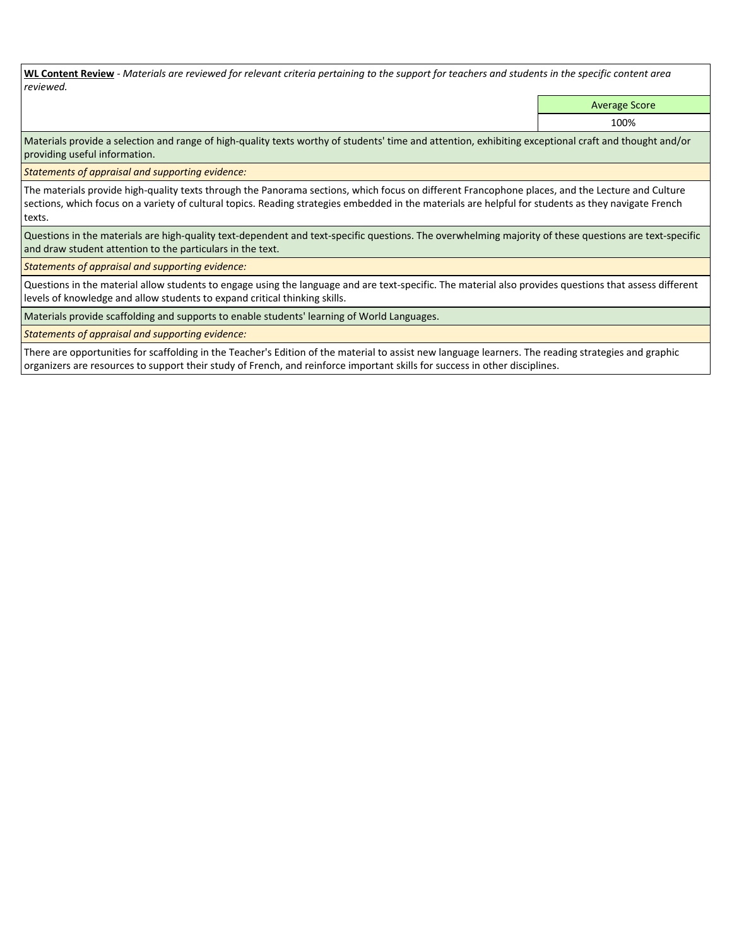**WL Content Review** *- Materials are reviewed for relevant criteria pertaining to the support for teachers and students in the specific content area reviewed.*

Average Score

100%

Materials provide a selection and range of high-quality texts worthy of students' time and attention, exhibiting exceptional craft and thought and/or providing useful information.

*Statements of appraisal and supporting evidence:* 

The materials provide high-quality texts through the Panorama sections, which focus on different Francophone places, and the Lecture and Culture sections, which focus on a variety of cultural topics. Reading strategies embedded in the materials are helpful for students as they navigate French texts.

Questions in the materials are high-quality text-dependent and text-specific questions. The overwhelming majority of these questions are text-specific and draw student attention to the particulars in the text.

*Statements of appraisal and supporting evidence:* 

Questions in the material allow students to engage using the language and are text-specific. The material also provides questions that assess different levels of knowledge and allow students to expand critical thinking skills.

Materials provide scaffolding and supports to enable students' learning of World Languages.

*Statements of appraisal and supporting evidence:* 

There are opportunities for scaffolding in the Teacher's Edition of the material to assist new language learners. The reading strategies and graphic organizers are resources to support their study of French, and reinforce important skills for success in other disciplines.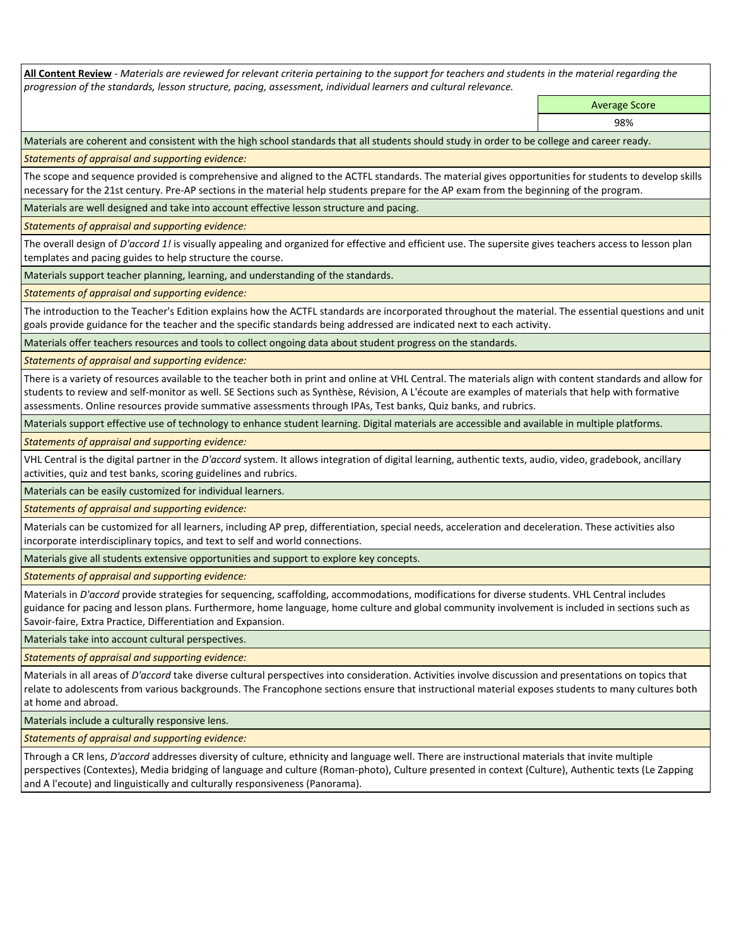**All Content Review** *- Materials are reviewed for relevant criteria pertaining to the support for teachers and students in the material regarding the progression of the standards, lesson structure, pacing, assessment, individual learners and cultural relevance.*

> Average Score 98%

Materials are coherent and consistent with the high school standards that all students should study in order to be college and career ready.

*Statements of appraisal and supporting evidence:*

The scope and sequence provided is comprehensive and aligned to the ACTFL standards. The material gives opportunities for students to develop skills necessary for the 21st century. Pre-AP sections in the material help students prepare for the AP exam from the beginning of the program.

Materials are well designed and take into account effective lesson structure and pacing.

*Statements of appraisal and supporting evidence:*

The overall design of *D'accord 1!* is visually appealing and organized for effective and efficient use. The supersite gives teachers access to lesson plan templates and pacing guides to help structure the course.

Materials support teacher planning, learning, and understanding of the standards.

*Statements of appraisal and supporting evidence:*

The introduction to the Teacher's Edition explains how the ACTFL standards are incorporated throughout the material. The essential questions and unit goals provide guidance for the teacher and the specific standards being addressed are indicated next to each activity.

Materials offer teachers resources and tools to collect ongoing data about student progress on the standards.

*Statements of appraisal and supporting evidence:*

There is a variety of resources available to the teacher both in print and online at VHL Central. The materials align with content standards and allow for students to review and self-monitor as well. SE Sections such as Synthèse, Révision, A L'écoute are examples of materials that help with formative assessments. Online resources provide summative assessments through IPAs, Test banks, Quiz banks, and rubrics.

Materials support effective use of technology to enhance student learning. Digital materials are accessible and available in multiple platforms.

*Statements of appraisal and supporting evidence:*

VHL Central is the digital partner in the *D'accord* system. It allows integration of digital learning, authentic texts, audio, video, gradebook, ancillary activities, quiz and test banks, scoring guidelines and rubrics.

Materials can be easily customized for individual learners.

*Statements of appraisal and supporting evidence:* 

Materials can be customized for all learners, including AP prep, differentiation, special needs, acceleration and deceleration. These activities also incorporate interdisciplinary topics, and text to self and world connections.

Materials give all students extensive opportunities and support to explore key concepts.

*Statements of appraisal and supporting evidence:*

Materials in *D'accord* provide strategies for sequencing, scaffolding, accommodations, modifications for diverse students. VHL Central includes guidance for pacing and lesson plans. Furthermore, home language, home culture and global community involvement is included in sections such as Savoir-faire, Extra Practice, Differentiation and Expansion.

Materials take into account cultural perspectives.

*Statements of appraisal and supporting evidence:*

Materials in all areas of *D'accord* take diverse cultural perspectives into consideration. Activities involve discussion and presentations on topics that relate to adolescents from various backgrounds. The Francophone sections ensure that instructional material exposes students to many cultures both at home and abroad.

Materials include a culturally responsive lens.

*Statements of appraisal and supporting evidence:*

Through a CR lens, *D'accord* addresses diversity of culture, ethnicity and language well. There are instructional materials that invite multiple perspectives (Contextes), Media bridging of language and culture (Roman-photo), Culture presented in context (Culture), Authentic texts (Le Zapping and A l'ecoute) and linguistically and culturally responsiveness (Panorama).